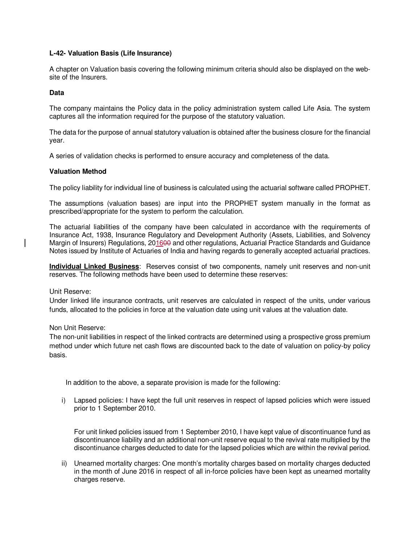# **L-42- Valuation Basis (Life Insurance)**

A chapter on Valuation basis covering the following minimum criteria should also be displayed on the website of the Insurers.

### **Data**

The company maintains the Policy data in the policy administration system called Life Asia. The system captures all the information required for the purpose of the statutory valuation.

The data for the purpose of annual statutory valuation is obtained after the business closure for the financial year.

A series of validation checks is performed to ensure accuracy and completeness of the data.

## **Valuation Method**

The policy liability for individual line of business is calculated using the actuarial software called PROPHET.

The assumptions (valuation bases) are input into the PROPHET system manually in the format as prescribed/appropriate for the system to perform the calculation.

The actuarial liabilities of the company have been calculated in accordance with the requirements of Insurance Act, 1938, Insurance Regulatory and Development Authority (Assets, Liabilities, and Solvency Margin of Insurers) Regulations, 201600 and other regulations, Actuarial Practice Standards and Guidance Notes issued by Institute of Actuaries of India and having regards to generally accepted actuarial practices.

**Individual Linked Business**: Reserves consist of two components, namely unit reserves and non-unit reserves. The following methods have been used to determine these reserves:

Unit Reserve:

Under linked life insurance contracts, unit reserves are calculated in respect of the units, under various funds, allocated to the policies in force at the valuation date using unit values at the valuation date.

Non Unit Reserve:

The non-unit liabilities in respect of the linked contracts are determined using a prospective gross premium method under which future net cash flows are discounted back to the date of valuation on policy-by policy basis.

In addition to the above, a separate provision is made for the following:

i) Lapsed policies: I have kept the full unit reserves in respect of lapsed policies which were issued prior to 1 September 2010.

For unit linked policies issued from 1 September 2010, I have kept value of discontinuance fund as discontinuance liability and an additional non-unit reserve equal to the revival rate multiplied by the discontinuance charges deducted to date for the lapsed policies which are within the revival period.

ii) Unearned mortality charges: One month's mortality charges based on mortality charges deducted in the month of June 2016 in respect of all in-force policies have been kept as unearned mortality charges reserve.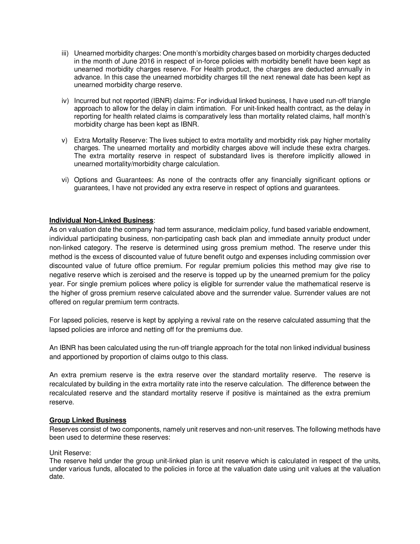- iii) Unearned morbidity charges: One month's morbidity charges based on morbidity charges deducted in the month of June 2016 in respect of in-force policies with morbidity benefit have been kept as unearned morbidity charges reserve. For Health product, the charges are deducted annually in advance. In this case the unearned morbidity charges till the next renewal date has been kept as unearned morbidity charge reserve.
- iv) Incurred but not reported (IBNR) claims: For individual linked business, I have used run-off triangle approach to allow for the delay in claim intimation. For unit-linked health contract, as the delay in reporting for health related claims is comparatively less than mortality related claims, half month's morbidity charge has been kept as IBNR.
- v) Extra Mortality Reserve: The lives subject to extra mortality and morbidity risk pay higher mortality charges. The unearned mortality and morbidity charges above will include these extra charges. The extra mortality reserve in respect of substandard lives is therefore implicitly allowed in unearned mortality/morbidity charge calculation.
- vi) Options and Guarantees: As none of the contracts offer any financially significant options or guarantees, I have not provided any extra reserve in respect of options and guarantees.

## **Individual Non-Linked Business**:

As on valuation date the company had term assurance, mediclaim policy, fund based variable endowment, individual participating business, non-participating cash back plan and immediate annuity product under non-linked category. The reserve is determined using gross premium method. The reserve under this method is the excess of discounted value of future benefit outgo and expenses including commission over discounted value of future office premium. For regular premium policies this method may give rise to negative reserve which is zeroised and the reserve is topped up by the unearned premium for the policy year. For single premium polices where policy is eligible for surrender value the mathematical reserve is the higher of gross premium reserve calculated above and the surrender value. Surrender values are not offered on regular premium term contracts.

For lapsed policies, reserve is kept by applying a revival rate on the reserve calculated assuming that the lapsed policies are inforce and netting off for the premiums due.

An IBNR has been calculated using the run-off triangle approach for the total non linked individual business and apportioned by proportion of claims outgo to this class.

An extra premium reserve is the extra reserve over the standard mortality reserve. The reserve is recalculated by building in the extra mortality rate into the reserve calculation. The difference between the recalculated reserve and the standard mortality reserve if positive is maintained as the extra premium reserve.

### **Group Linked Business**

Reserves consist of two components, namely unit reserves and non-unit reserves. The following methods have been used to determine these reserves:

### Unit Reserve:

The reserve held under the group unit-linked plan is unit reserve which is calculated in respect of the units, under various funds, allocated to the policies in force at the valuation date using unit values at the valuation date.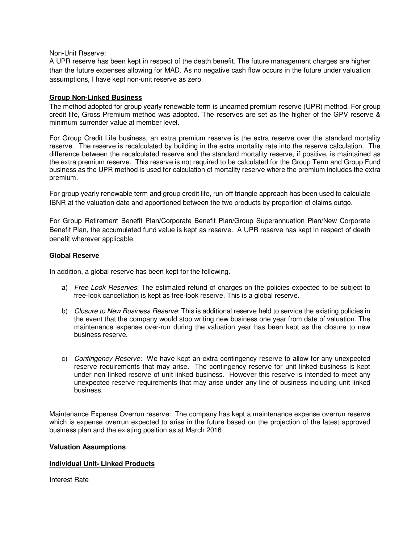#### Non-Unit Reserve:

A UPR reserve has been kept in respect of the death benefit. The future management charges are higher than the future expenses allowing for MAD. As no negative cash flow occurs in the future under valuation assumptions, I have kept non-unit reserve as zero.

### **Group Non-Linked Business**

The method adopted for group yearly renewable term is unearned premium reserve (UPR) method. For group credit life, Gross Premium method was adopted. The reserves are set as the higher of the GPV reserve & minimum surrender value at member level.

For Group Credit Life business, an extra premium reserve is the extra reserve over the standard mortality reserve. The reserve is recalculated by building in the extra mortality rate into the reserve calculation. The difference between the recalculated reserve and the standard mortality reserve, if positive, is maintained as the extra premium reserve. This reserve is not required to be calculated for the Group Term and Group Fund business as the UPR method is used for calculation of mortality reserve where the premium includes the extra premium.

For group yearly renewable term and group credit life, run-off triangle approach has been used to calculate IBNR at the valuation date and apportioned between the two products by proportion of claims outgo.

For Group Retirement Benefit Plan/Corporate Benefit Plan/Group Superannuation Plan/New Corporate Benefit Plan, the accumulated fund value is kept as reserve. A UPR reserve has kept in respect of death benefit wherever applicable.

### **Global Reserve**

In addition, a global reserve has been kept for the following.

- a) Free Look Reserves: The estimated refund of charges on the policies expected to be subject to free-look cancellation is kept as free-look reserve. This is a global reserve.
- b) Closure to New Business Reserve: This is additional reserve held to service the existing policies in the event that the company would stop writing new business one year from date of valuation. The maintenance expense over-run during the valuation year has been kept as the closure to new business reserve.
- c) Contingency Reserve: We have kept an extra contingency reserve to allow for any unexpected reserve requirements that may arise. The contingency reserve for unit linked business is kept under non linked reserve of unit linked business. However this reserve is intended to meet any unexpected reserve requirements that may arise under any line of business including unit linked business.

Maintenance Expense Overrun reserve: The company has kept a maintenance expense overrun reserve which is expense overrun expected to arise in the future based on the projection of the latest approved business plan and the existing position as at March 2016

### **Valuation Assumptions**

### **Individual Unit- Linked Products**

Interest Rate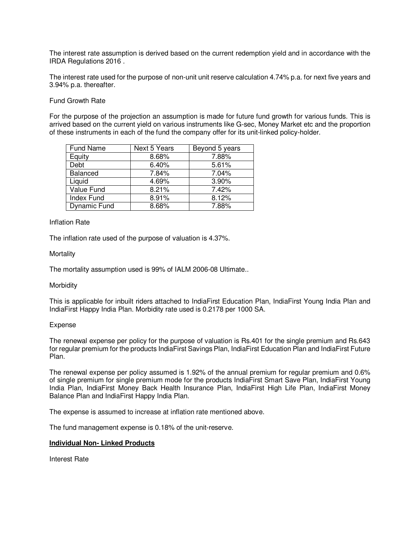The interest rate assumption is derived based on the current redemption yield and in accordance with the IRDA Regulations 2016 .

The interest rate used for the purpose of non-unit unit reserve calculation 4.74% p.a. for next five years and 3.94% p.a. thereafter.

### Fund Growth Rate

For the purpose of the projection an assumption is made for future fund growth for various funds. This is arrived based on the current yield on various instruments like G-sec, Money Market etc and the proportion of these instruments in each of the fund the company offer for its unit-linked policy-holder.

| <b>Fund Name</b>    | Next 5 Years | Beyond 5 years |
|---------------------|--------------|----------------|
| Equity              | 8.68%        | 7.88%          |
| Debt                | 6.40%        | 5.61%          |
| Balanced            | 7.84%        | 7.04%          |
| Liquid              | 4.69%        | 3.90%          |
| Value Fund          | 8.21%        | 7.42%          |
| <b>Index Fund</b>   | 8.91%        | 8.12%          |
| <b>Dynamic Fund</b> | 8.68%        | 7.88%          |

### Inflation Rate

The inflation rate used of the purpose of valuation is 4.37%.

### **Mortality**

The mortality assumption used is 99% of IALM 2006-08 Ultimate..

### Morbidity

This is applicable for inbuilt riders attached to IndiaFirst Education Plan, IndiaFirst Young India Plan and IndiaFirst Happy India Plan. Morbidity rate used is 0.2178 per 1000 SA.

## Expense

The renewal expense per policy for the purpose of valuation is Rs.401 for the single premium and Rs.643 for regular premium for the products IndiaFirst Savings Plan, IndiaFirst Education Plan and IndiaFirst Future Plan.

The renewal expense per policy assumed is 1.92% of the annual premium for regular premium and 0.6% of single premium for single premium mode for the products IndiaFirst Smart Save Plan, IndiaFirst Young India Plan, IndiaFirst Money Back Health Insurance Plan, IndiaFirst High Life Plan, IndiaFirst Money Balance Plan and IndiaFirst Happy India Plan.

The expense is assumed to increase at inflation rate mentioned above.

The fund management expense is 0.18% of the unit-reserve.

### **Individual Non- Linked Products**

Interest Rate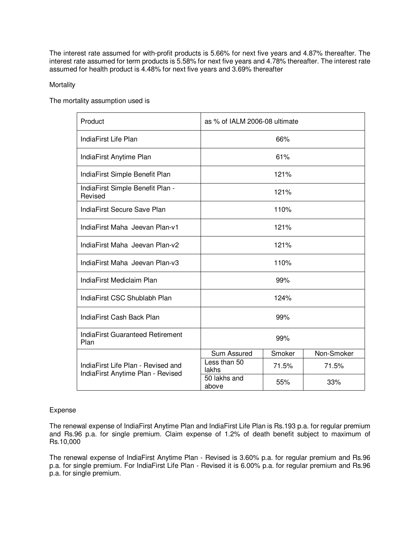The interest rate assumed for with-profit products is 5.66% for next five years and 4.87% thereafter. The interest rate assumed for term products is 5.58% for next five years and 4.78% thereafter. The interest rate assumed for health product is 4.48% for next five years and 3.69% thereafter

## **Mortality**

The mortality assumption used is

| Product                                                                 | as % of IALM 2006-08 ultimate |        |            |
|-------------------------------------------------------------------------|-------------------------------|--------|------------|
| IndiaFirst Life Plan                                                    | 66%                           |        |            |
| IndiaFirst Anytime Plan                                                 |                               | 61%    |            |
| IndiaFirst Simple Benefit Plan                                          | 121%                          |        |            |
| IndiaFirst Simple Benefit Plan -<br>Revised                             | 121%                          |        |            |
| IndiaFirst Secure Save Plan                                             | 110%                          |        |            |
| IndiaFirst Maha Jeevan Plan-v1                                          | 121%                          |        |            |
| IndiaFirst Maha, Jeevan Plan-v2                                         | 121%                          |        |            |
| IndiaFirst Maha Jeevan Plan-v3                                          | 110%                          |        |            |
| IndiaFirst Mediclaim Plan                                               | 99%                           |        |            |
| IndiaFirst CSC Shublabh Plan                                            | 124%                          |        |            |
| IndiaFirst Cash Back Plan                                               | 99%                           |        |            |
| IndiaFirst Guaranteed Retirement<br>Plan                                | 99%                           |        |            |
|                                                                         | Sum Assured                   | Smoker | Non-Smoker |
| IndiaFirst Life Plan - Revised and<br>IndiaFirst Anytime Plan - Revised | Less than 50<br>lakhs         | 71.5%  | 71.5%      |
|                                                                         | 50 lakhs and<br>above         | 55%    | 33%        |

### Expense

The renewal expense of IndiaFirst Anytime Plan and IndiaFirst Life Plan is Rs.193 p.a. for regular premium and Rs.96 p.a. for single premium. Claim expense of 1.2% of death benefit subject to maximum of Rs.10,000

The renewal expense of IndiaFirst Anytime Plan - Revised is 3.60% p.a. for regular premium and Rs.96 p.a. for single premium. For IndiaFirst Life Plan - Revised it is 6.00% p.a. for regular premium and Rs.96 p.a. for single premium.